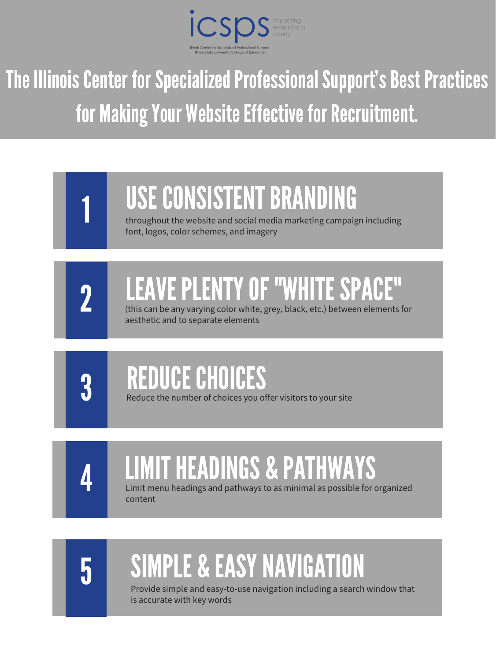

## The Illinois Center for Specialized Professional Support's Best Practices for Making Your Website Effective for Recruitment.

throughout the website and social media marketing campaign including font, logos, color schemes, and imagery

## REDUCECHOICES

Reduce the number of choices you offer visitors to your site

## LIMITHEADINGS & PATHWAYS

Limit menu headings and pathways to as minimal as possible for organized content



## USE CONSISTENT BRANDING





## LEAVEPLENTYOF "WHITESPACE"

(this can be any varying color white, grey, black, etc.) between elements for aesthetic and to separate elements



## SIMPLE & EASYNAVIGATION

Provide simple and easy-to-use navigation including a search window that is accurate with key words

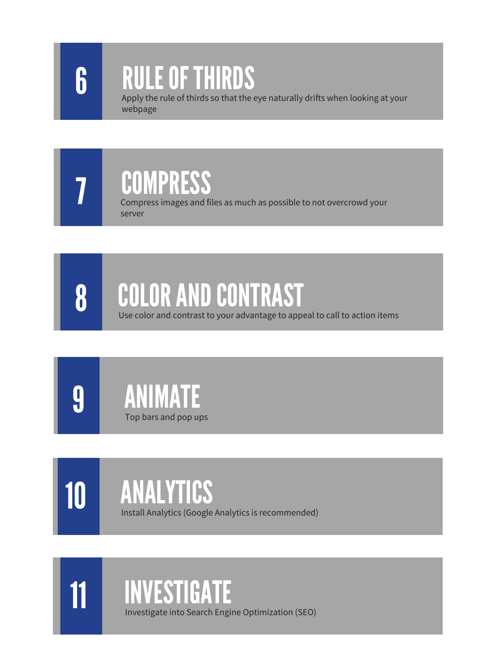



#### RULEOFTHIRDS

Apply the rule of thirds so that the eye naturally drifts when looking at your webpage







10